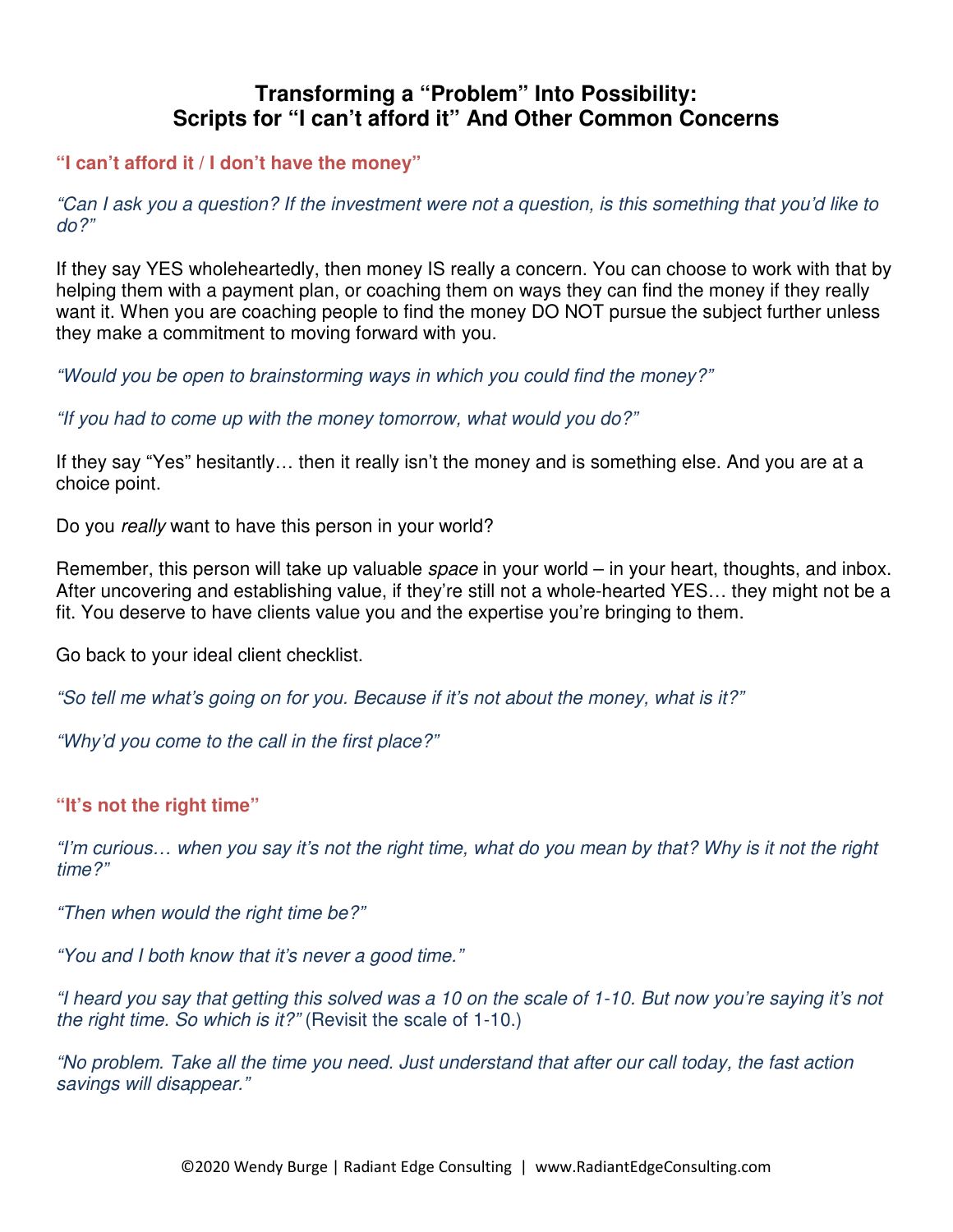# **Transforming a "Problem" Into Possibility: Scripts for "I can't afford it" And Other Common Concerns**

**"I can't afford it / I don't have the money"** 

"Can I ask you a question? If the investment were not a question, is this something that you'd like to do?"

If they say YES wholeheartedly, then money IS really a concern. You can choose to work with that by helping them with a payment plan, or coaching them on ways they can find the money if they really want it. When you are coaching people to find the money DO NOT pursue the subject further unless they make a commitment to moving forward with you.

"Would you be open to brainstorming ways in which you could find the money?"

"If you had to come up with the money tomorrow, what would you do?"

If they say "Yes" hesitantly… then it really isn't the money and is something else. And you are at a choice point.

Do you really want to have this person in your world?

Remember, this person will take up valuable *space* in your world – in your heart, thoughts, and inbox. After uncovering and establishing value, if they're still not a whole-hearted YES… they might not be a fit. You deserve to have clients value you and the expertise you're bringing to them.

Go back to your ideal client checklist.

"So tell me what's going on for you. Because if it's not about the money, what is it?"

"Why'd you come to the call in the first place?"

## **"It's not the right time"**

"I'm curious… when you say it's not the right time, what do you mean by that? Why is it not the right time?"

"Then when would the right time be?"

"You and I both know that it's never a good time."

"I heard you say that getting this solved was a 10 on the scale of 1-10. But now you're saying it's not the right time. So which is it?" (Revisit the scale of 1-10.)

"No problem. Take all the time you need. Just understand that after our call today, the fast action savings will disappear."